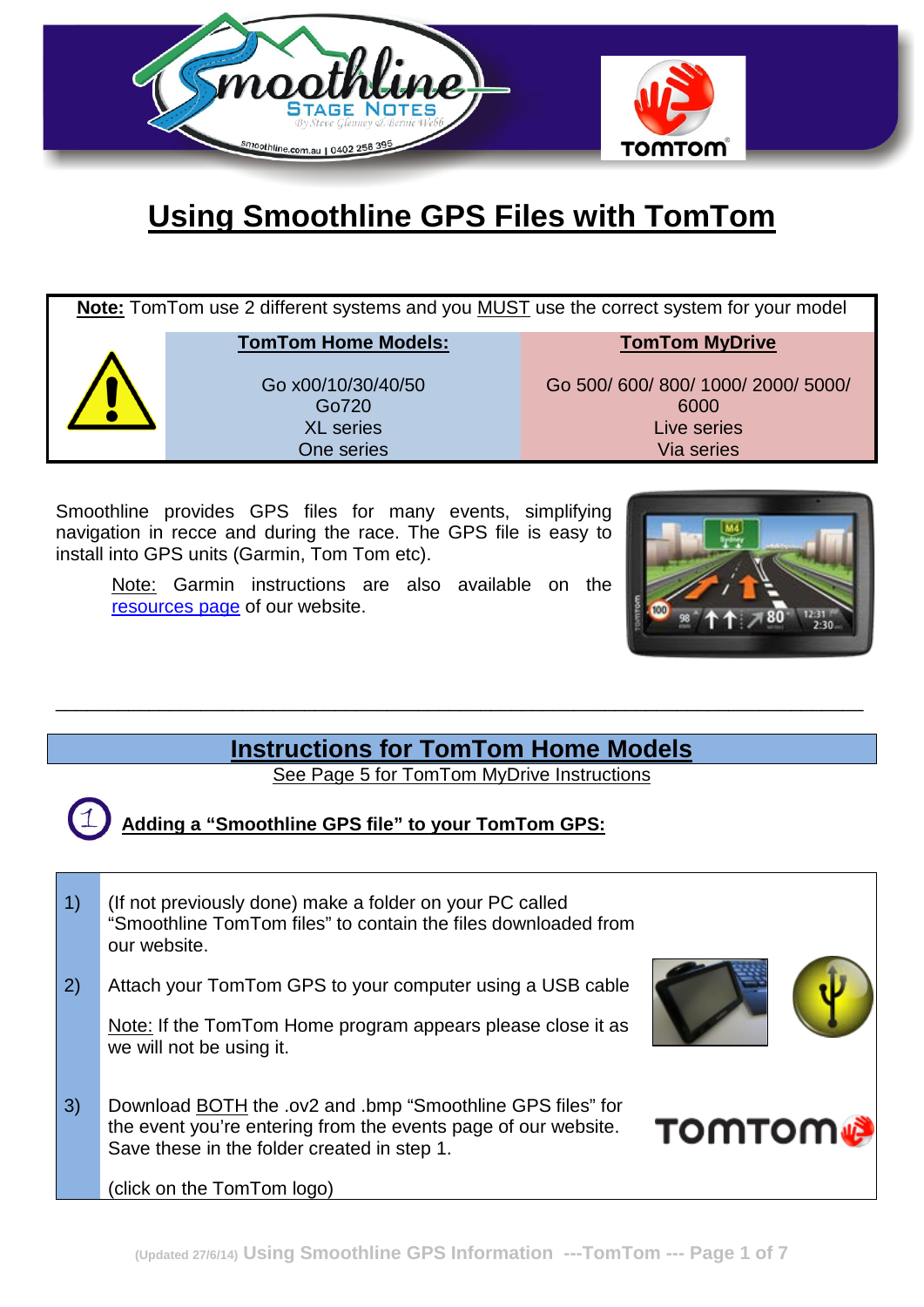

# **Using Smoothline GPS Files with TomTom**

| Note: Tom Tom use 2 different systems and you MUST use the correct system for your model |                                                               |                                                                     |  |
|------------------------------------------------------------------------------------------|---------------------------------------------------------------|---------------------------------------------------------------------|--|
|                                                                                          | <b>TomTom Home Models:</b>                                    | <b>TomTom MyDrive</b>                                               |  |
|                                                                                          | Go x00/10/30/40/50<br>Go720<br><b>XL</b> series<br>One series | Go 500/600/800/1000/2000/5000/<br>6000<br>Live series<br>Via series |  |

Smoothline provides GPS files for many events, simplifying navigation in recce and during the race. The GPS file is easy to install into GPS units (Garmin, Tom Tom etc).

Note: Garmin instructions are also available on the [resources](http://smoothline.com.au/resources/) page of our website.



### **Instructions for TomTom Home Models**

\_\_\_\_\_\_\_\_\_\_\_\_\_\_\_\_\_\_\_\_\_\_\_\_\_\_\_\_\_\_\_\_\_\_\_\_\_\_\_\_\_\_\_\_\_\_\_\_\_\_\_\_\_\_\_\_\_\_\_\_\_\_\_\_\_\_\_\_\_\_\_\_\_\_\_\_\_\_

See Page 5 for TomTom MyDrive Instructions

**Adding a "Smoothline GPS file" to your TomTom GPS:**

| $\left( \begin{matrix} 1 \end{matrix} \right)$ | (If not previously done) make a folder on your PC called<br>"Smoothline TomTom files" to contain the files downloaded from<br>our website.                                                                       |               |
|------------------------------------------------|------------------------------------------------------------------------------------------------------------------------------------------------------------------------------------------------------------------|---------------|
| 2)                                             | Attach your TomTom GPS to your computer using a USB cable<br>Note: If the TomTom Home program appears please close it as<br>we will not be using it.                                                             |               |
| 3)                                             | Download <b>BOTH</b> the .ov2 and .bmp "Smoothline GPS files" for<br>the event you're entering from the events page of our website.<br>Save these in the folder created in step 1.<br>(click on the TomTom logo) | <b>TOMTOM</b> |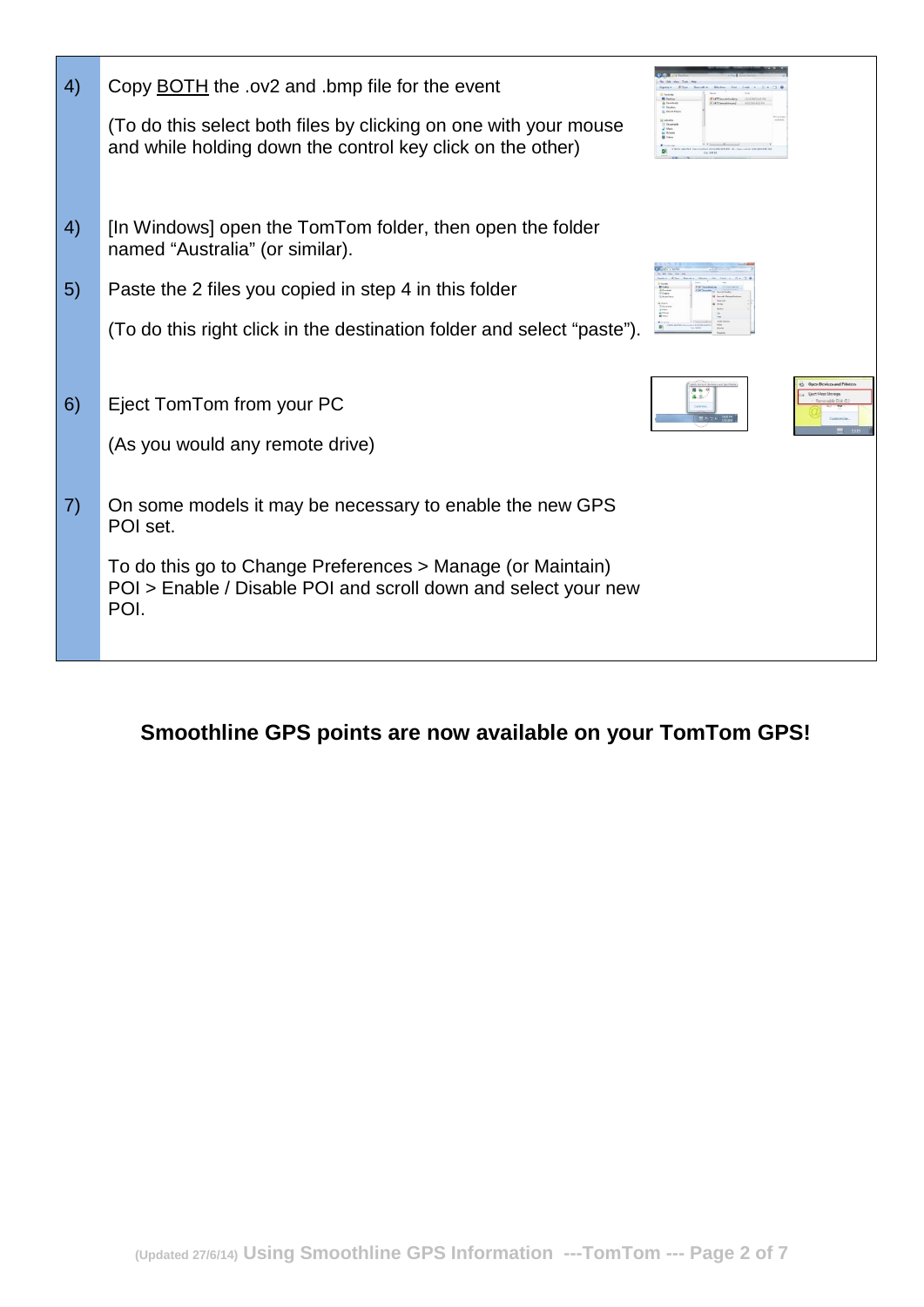| 4)                | Copy BOTH the .ov2 and .bmp file for the event<br>(To do this select both files by clicking on one with your mouse<br>and while holding down the control key click on the other) |                    |  |
|-------------------|----------------------------------------------------------------------------------------------------------------------------------------------------------------------------------|--------------------|--|
| 4)                | [In Windows] open the TomTom folder, then open the folder<br>named "Australia" (or similar).                                                                                     |                    |  |
| 5)                | Paste the 2 files you copied in step 4 in this folder                                                                                                                            |                    |  |
|                   | (To do this right click in the destination folder and select "paste").                                                                                                           |                    |  |
|                   |                                                                                                                                                                                  |                    |  |
| 6)                | Eject TomTom from your PC                                                                                                                                                        | <b>BI</b> Vo<br>容忍 |  |
|                   | (As you would any remote drive)                                                                                                                                                  |                    |  |
|                   |                                                                                                                                                                                  |                    |  |
| $\left( 7\right)$ | On some models it may be necessary to enable the new GPS<br>POI set.                                                                                                             |                    |  |
|                   | To do this go to Change Preferences > Manage (or Maintain)<br>POI > Enable / Disable POI and scroll down and select your new<br>POI.                                             |                    |  |
|                   |                                                                                                                                                                                  |                    |  |

## **Smoothline GPS points are now available on your TomTom GPS!**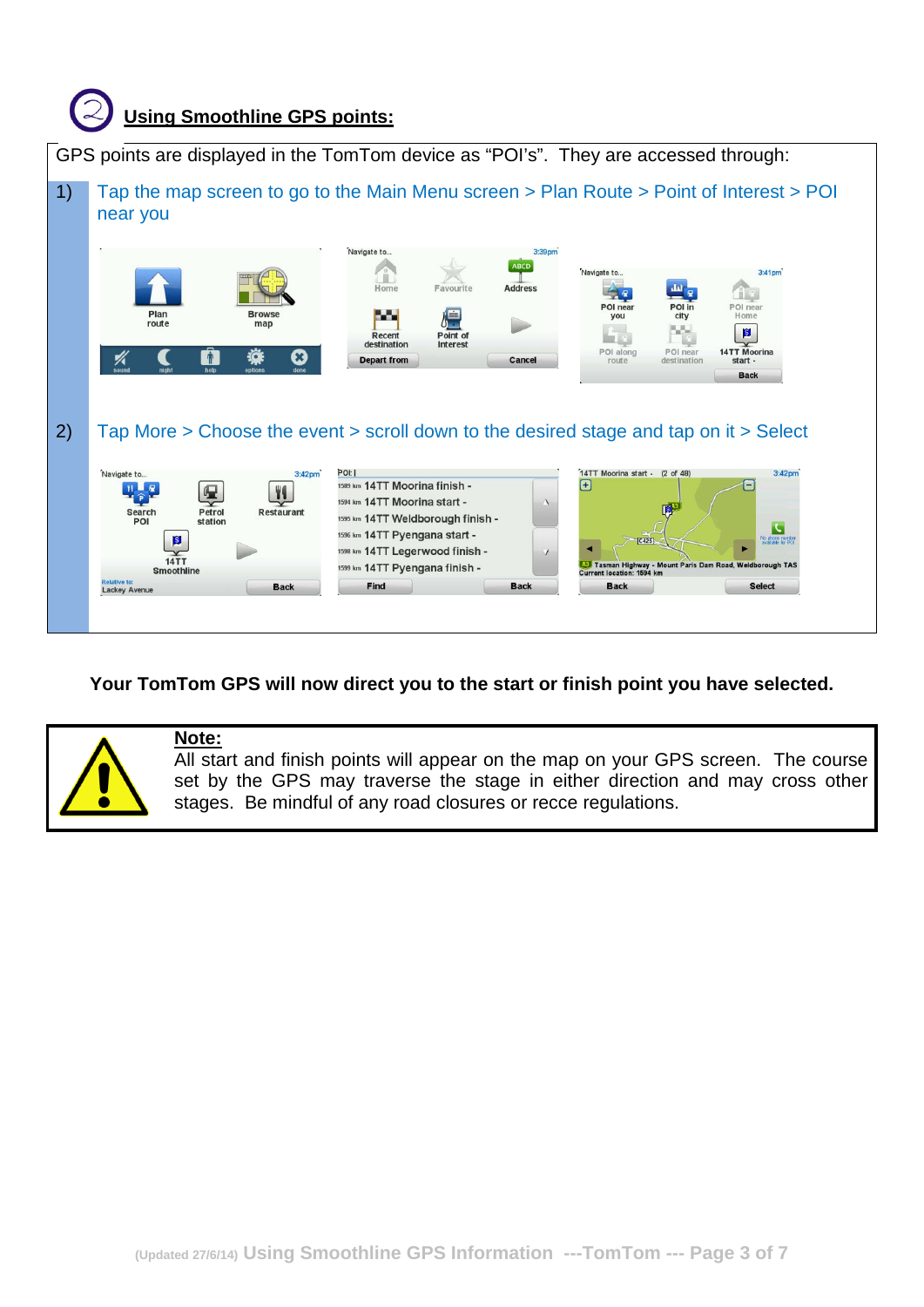

#### **Your TomTom GPS will now direct you to the start or finish point you have selected.**



#### **Note:**

All start and finish points will appear on the map on your GPS screen. The course set by the GPS may traverse the stage in either direction and may cross other stages. Be mindful of any road closures or recce regulations.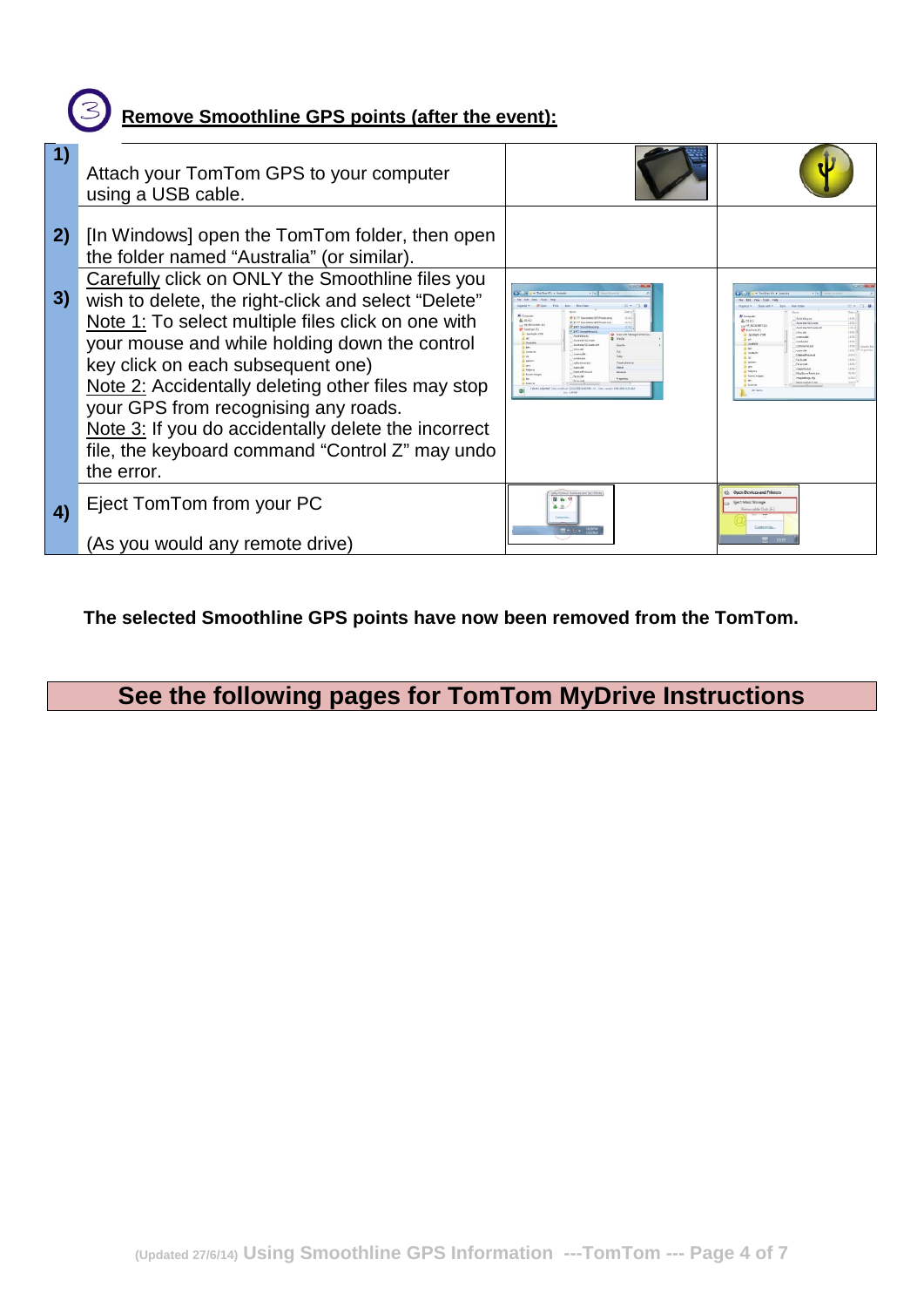## **Remove Smoothline GPS points (after the event):**

|    | Attach your TomTom GPS to your computer<br>using a USB cable.                                                                                                                                                                                                                                                                                                                                                                                                                                                                                                                |                                                                                                                                                                                                                                                               |                                                                                                                                                                                                                                                                                                                                                          |
|----|------------------------------------------------------------------------------------------------------------------------------------------------------------------------------------------------------------------------------------------------------------------------------------------------------------------------------------------------------------------------------------------------------------------------------------------------------------------------------------------------------------------------------------------------------------------------------|---------------------------------------------------------------------------------------------------------------------------------------------------------------------------------------------------------------------------------------------------------------|----------------------------------------------------------------------------------------------------------------------------------------------------------------------------------------------------------------------------------------------------------------------------------------------------------------------------------------------------------|
| 3) | 2) [In Windows] open the TomTom folder, then open<br>the folder named "Australia" (or similar).<br>Carefully click on ONLY the Smoothline files you<br>wish to delete, the right-click and select "Delete"<br>Note 1: To select multiple files click on one with<br>your mouse and while holding down the control<br>key click on each subsequent one)<br>Note 2: Accidentally deleting other files may stop<br>your GPS from recognising any roads.<br>Note 3: If you do accidentally delete the incorrect<br>file, the keyboard command "Control Z" may undo<br>the error. | <b>E.</b> ISSN<br>13.04<br><b>SETT</b> DreamWhite Ave<br>34f1 Smoothlin<br>Ch. Supports Managed 6<br><b>G</b> WeZe<br>Australia-562 cm<br><b>National Million</b><br>double.<br>many, Ad<br><b>SAGE AR</b><br>105.00<br><b>Determined</b><br><b>Faces dat</b> | <b>Australia</b> en<br>100<br>Autoria (S.2 auto<br>- HE RECOVERY<br>181.2<br>unita (S2.4)<br>11/10<br>steri.<br>charge.da<br>$\frac{1000}{1000}$<br>contacted<br>18/02/17<br>cres.dd.<br>5800<br><b>Select Points</b><br>18.05<br><b>FaceLibe</b><br>16.02<br><b>Techt man</b><br>easinfo.de<br><b>MauSanne@atch</b><br>manufiksa da<br>Masthachus is de |
| 4) | Eject TomTom from your PC<br>(As you would any remote drive)                                                                                                                                                                                                                                                                                                                                                                                                                                                                                                                 | 图 每 号<br>るな<br>Customise<br>置かせる                                                                                                                                                                                                                              | Onen Devices and Prints<br><b>Liect Mass Storage</b><br><b>Communist Disk (F)</b><br>Costinesine                                                                                                                                                                                                                                                         |

**The selected Smoothline GPS points have now been removed from the TomTom.**

# **See the following pages for TomTom MyDrive Instructions**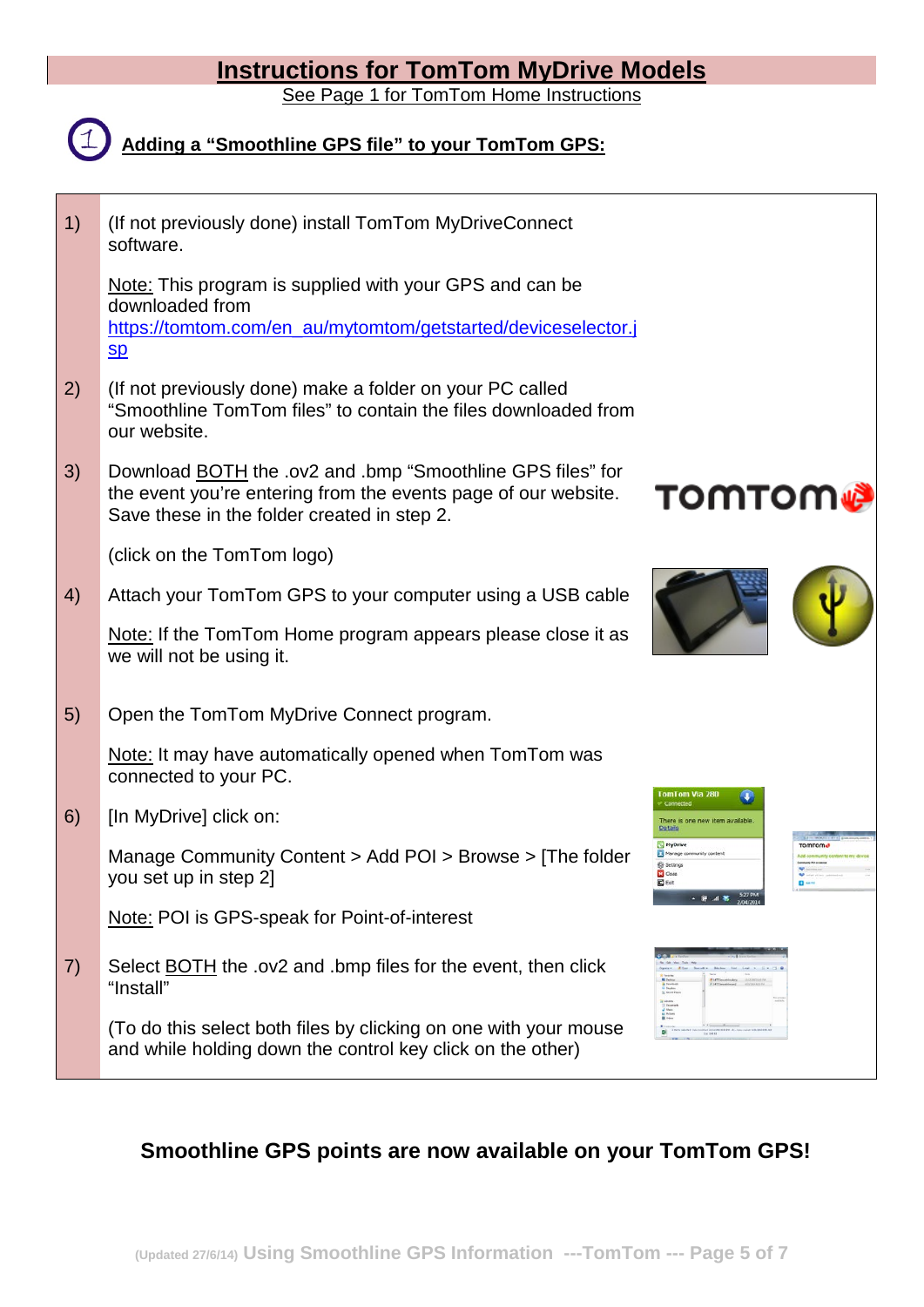### **Instructions for TomTom MyDrive Models**

See Page 1 for TomTom Home Instructions



## **Adding a "Smoothline GPS file" to your TomTom GPS:**

| (If not previously done) install TomTom MyDriveConnect<br>software.                                                                                                                |                                                                                    |
|------------------------------------------------------------------------------------------------------------------------------------------------------------------------------------|------------------------------------------------------------------------------------|
| Note: This program is supplied with your GPS and can be<br>downloaded from<br>https://tomtom.com/en_au/mytomtom/getstarted/deviceselector.j<br>$S_{D}$                             |                                                                                    |
| (If not previously done) make a folder on your PC called<br>"Smoothline TomTom files" to contain the files downloaded from<br>our website.                                         |                                                                                    |
| Download <b>BOTH</b> the .ov2 and .bmp "Smoothline GPS files" for<br>the event you're entering from the events page of our website.<br>Save these in the folder created in step 2. | тоттот д                                                                           |
| (click on the TomTom logo)                                                                                                                                                         |                                                                                    |
| Attach your TomTom GPS to your computer using a USB cable                                                                                                                          |                                                                                    |
| Note: If the TomTom Home program appears please close it as<br>we will not be using it.                                                                                            |                                                                                    |
| Open the TomTom MyDrive Connect program.                                                                                                                                           |                                                                                    |
| Note: It may have automatically opened when TomTom was<br>connected to your PC.                                                                                                    | mTom Via 280                                                                       |
| [In MyDrive] click on:                                                                                                                                                             | here is one new item available<br><u>Details</u>                                   |
| Manage Community Content > Add POI > Browse > [The folder<br>you set up in step 2]                                                                                                 | a Manage community content<br><b>Co Setting</b><br><b>EX</b> Close<br><b>E</b> Ext |
| Note: POI is GPS-speak for Point-of-interest                                                                                                                                       |                                                                                    |
| Select <b>BOTH</b> the .ov2 and .bmp files for the event, then click<br>"Install"                                                                                                  |                                                                                    |
| (To do this select both files by clicking on one with your mouse<br>and while holding down the control key click on the other)                                                     | a Liouxe<br>    Decar<br>  al Materi<br>    Materi<br>  Materi                     |
|                                                                                                                                                                                    |                                                                                    |

### **Smoothline GPS points are now available on your TomTom GPS!**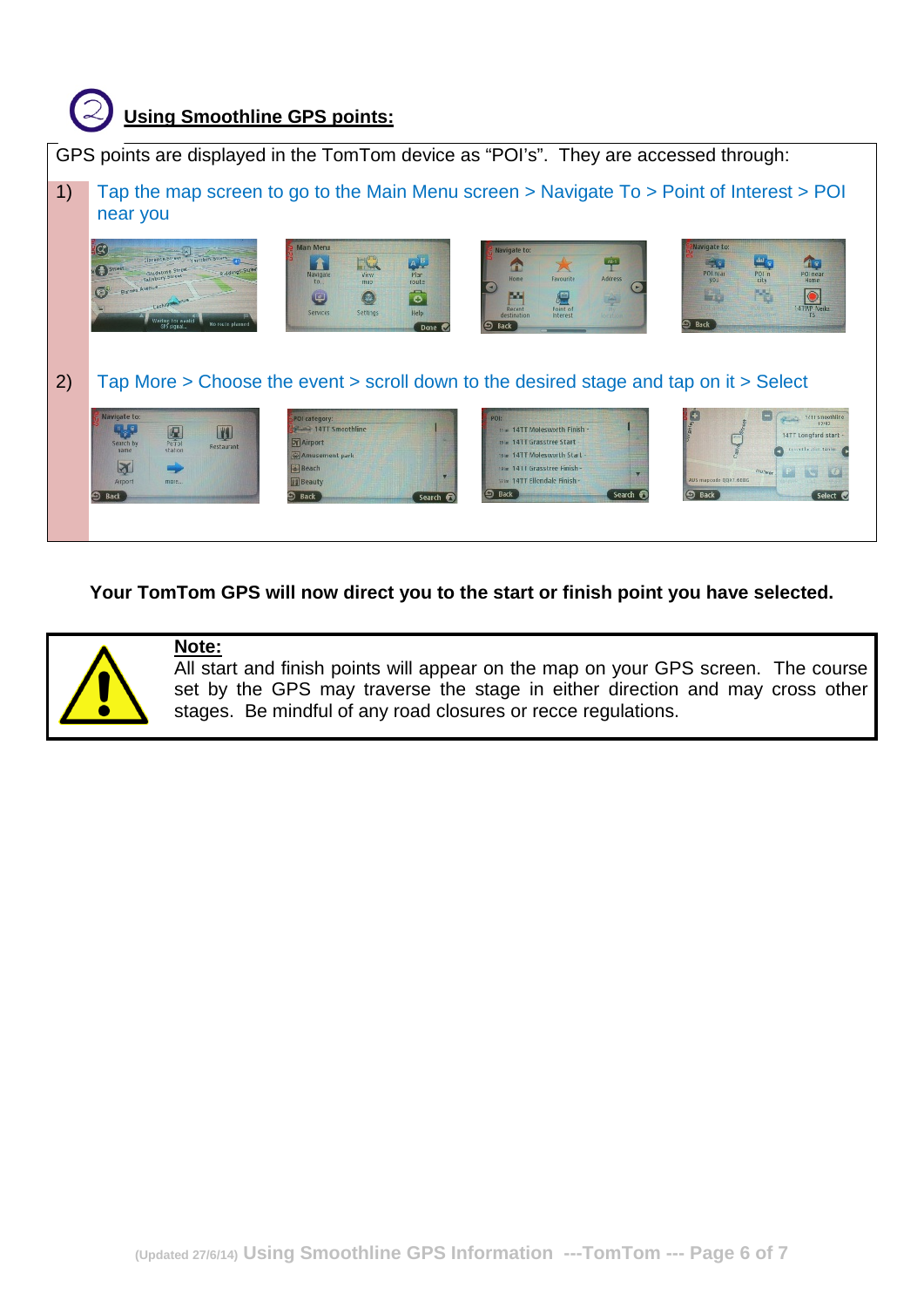

**Your TomTom GPS will now direct you to the start or finish point you have selected.**



### **Note:**

All start and finish points will appear on the map on your GPS screen. The course set by the GPS may traverse the stage in either direction and may cross other stages. Be mindful of any road closures or recce regulations.